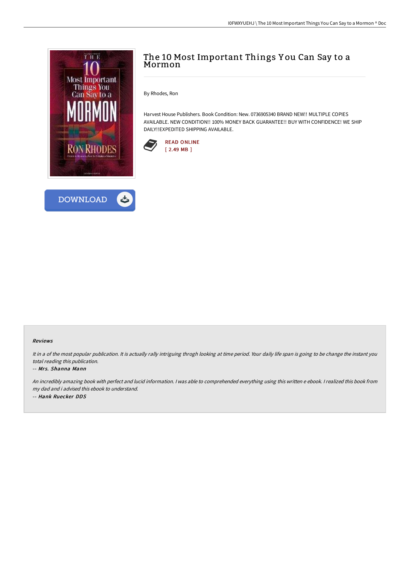



# The 10 Most Important Things Y ou Can Say to a Mormon

By Rhodes, Ron

Harvest House Publishers. Book Condition: New. 0736905340 BRAND NEW!! MULTIPLE COPIES AVAILABLE. NEW CONDITION!! 100% MONEY BACK GUARANTEE!! BUY WITH CONFIDENCE! WE SHIP DAILY!!EXPEDITED SHIPPING AVAILABLE.



#### Reviews

It in a of the most popular publication. It is actually rally intriguing throgh looking at time period. Your daily life span is going to be change the instant you total reading this publication.

#### -- Mrs. Shanna Mann

An incredibly amazing book with perfect and lucid information. <sup>I</sup> was able to comprehended everything using this written <sup>e</sup> ebook. <sup>I</sup> realized this book from my dad and i advised this ebook to understand. -- Hank Ruecker DDS